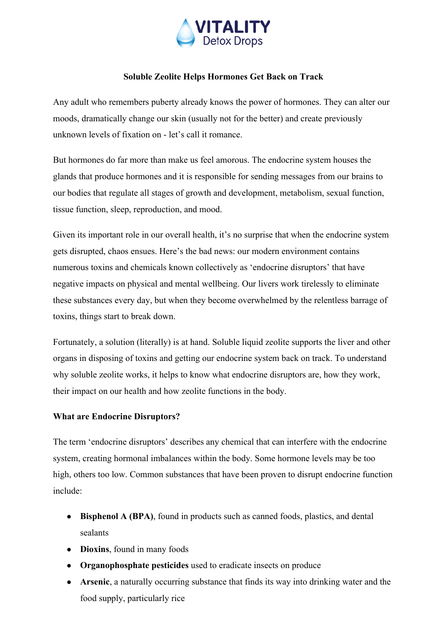

# **Soluble Zeolite Helps Hormones Get Back on Track**

Any adult who remembers puberty already knows the power of hormones. They can alter our moods, dramatically change our skin (usually not for the better) and create previously unknown levels of fixation on - let's call it romance.

But hormones do far more than make us feel amorous. The endocrine system houses the glands that produce hormones and it is responsible for sending messages from our brains to our bodies that regulate all stages of growth and development, metabolism, sexual function, tissue function, sleep, reproduction, and mood.

Given its important role in our overall health, it's no surprise that when the endocrine system gets disrupted, chaos ensues. Here's the bad news: our modern environment contains numerous toxins and chemicals known collectively as 'endocrine disruptors' that have negative impacts on physical and mental wellbeing. Our livers work tirelessly to eliminate these substances every day, but when they become overwhelmed by the relentless barrage of toxins, things start to break down.

Fortunately, a solution (literally) is at hand. Soluble liquid zeolite supports the liver and other organs in disposing of toxins and getting our endocrine system back on track. To understand why soluble zeolite works, it helps to know what endocrine disruptors are, how they work, their impact on our health and how zeolite functions in the body.

## **What are Endocrine Disruptors?**

The term 'endocrine disruptors' describes any chemical that can interfere with the endocrine system, creating hormonal imbalances within the body. Some hormone levels may be too high, others too low. Common substances that have been proven to disrupt endocrine function include:

- **Bisphenol A (BPA)**, found in products such as canned foods, plastics, and dental sealants
- **Dioxins**, found in many foods
- **Organophosphate pesticides** used to eradicate insects on produce
- **Arsenic**, a naturally occurring substance that finds its way into drinking water and the food supply, particularly rice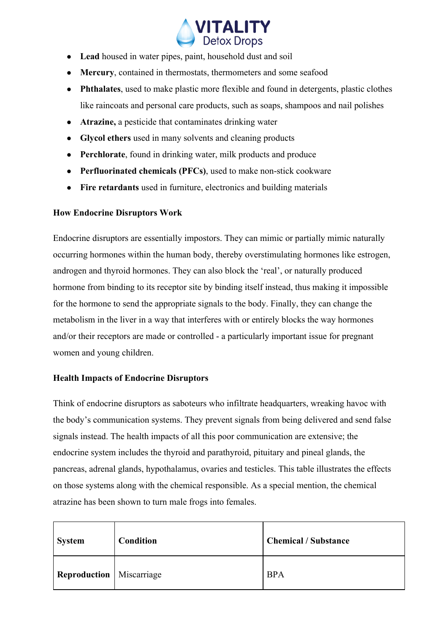

- **Lead** housed in water pipes, paint, household dust and soil
- **Mercury**, contained in thermostats, thermometers and some seafood
- **Phthalates**, used to make plastic more flexible and found in detergents, plastic clothes like raincoats and personal care products, such as soaps, shampoos and nail polishes
- **Atrazine,** a pesticide that contaminates drinking water
- **Glycol ethers** used in many solvents and cleaning products
- **Perchlorate**, found in drinking water, milk products and produce
- **Perfluorinated chemicals (PFCs)**, used to make non-stick cookware
- **Fire retardants** used in furniture, electronics and building materials

### **How Endocrine Disruptors Work**

Endocrine disruptors are essentially impostors. They can mimic or partially mimic naturally occurring hormones within the human body, thereby overstimulating hormones like estrogen, androgen and thyroid hormones. They can also block the 'real', or naturally produced hormone from binding to its receptor site by binding itself instead, thus making it impossible for the hormone to send the appropriate signals to the body. Finally, they can change the metabolism in the liver in a way that interferes with or entirely blocks the way hormones and/or their receptors are made or controlled - a particularly important issue for pregnant women and young children.

## **Health Impacts of Endocrine Disruptors**

Think of endocrine disruptors as saboteurs who infiltrate headquarters, wreaking havoc with the body's communication systems. They prevent signals from being delivered and send false signals instead. The health impacts of all this poor communication are extensive; the endocrine system includes the thyroid and parathyroid, pituitary and pineal glands, the pancreas, adrenal glands, hypothalamus, ovaries and testicles. This table illustrates the effects on those systems along with the chemical responsible. As a special mention, the chemical atrazine has been shown to turn male frogs into females.

| <b>System</b>                   | <b>Condition</b> | <b>Chemical / Substance</b> |
|---------------------------------|------------------|-----------------------------|
| <b>Reproduction</b> Miscarriage |                  | <b>BPA</b>                  |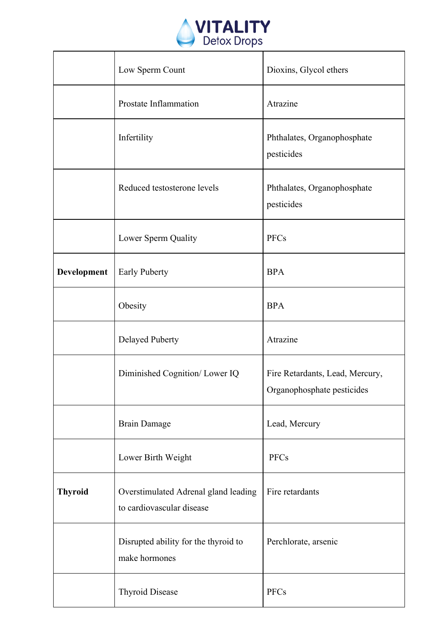

|                | Low Sperm Count                                                   | Dioxins, Glycol ethers                                        |
|----------------|-------------------------------------------------------------------|---------------------------------------------------------------|
|                | Prostate Inflammation                                             | Atrazine                                                      |
|                | Infertility                                                       | Phthalates, Organophosphate<br>pesticides                     |
|                | Reduced testosterone levels                                       | Phthalates, Organophosphate<br>pesticides                     |
|                | Lower Sperm Quality                                               | <b>PFCs</b>                                                   |
| Development    | <b>Early Puberty</b>                                              | <b>BPA</b>                                                    |
|                | Obesity                                                           | <b>BPA</b>                                                    |
|                | Delayed Puberty                                                   | Atrazine                                                      |
|                | Diminished Cognition/ Lower IQ                                    | Fire Retardants, Lead, Mercury,<br>Organophosphate pesticides |
|                | <b>Brain Damage</b>                                               | Lead, Mercury                                                 |
|                | Lower Birth Weight                                                | <b>PFCs</b>                                                   |
| <b>Thyroid</b> | Overstimulated Adrenal gland leading<br>to cardiovascular disease | Fire retardants                                               |
|                | Disrupted ability for the thyroid to<br>make hormones             | Perchlorate, arsenic                                          |
|                | <b>Thyroid Disease</b>                                            | <b>PFCs</b>                                                   |